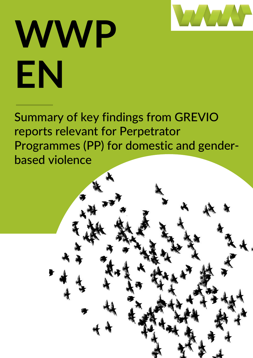

# **WWP EN**

Summary of key findings from GREVIO reports relevant for Perpetrator Programmes (PP) for domestic and genderbased violence

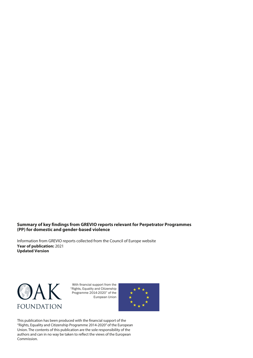#### **Summary of key findings from GREVIO reports relevant for Perpetrator Programmes (PP) for domestic and gender-based violence**

Information from GREVIO reports collected from the Council of Europe website **Year of publication:** 2021 **Updated Version**



With financial support from the "Rights, Equality and Citizenship Programme 2014-2020" of the European Union



This publication has been produced with the financial support of the "Rights, Equality and Citizenship Programme 2014-2020" of the European Union. The contents of this publication are the sole responsibility of the authors and can in no way be taken to reflect the views of the European Commission.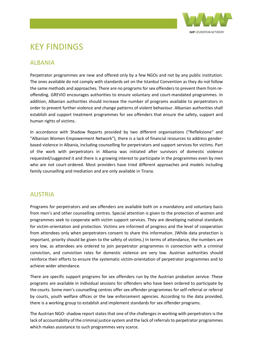

## KEY FINDINGS

#### **ALBANIA**

Perpetrator programmes are new and offered only by a few NGOs and not by any public institution. The ones available do not comply with standards set on the Istanbul Convention as they do not follow the same methods and approaches. There are no programs for sex offenders to prevent them from reoffending. GREVIO encourages authorities to ensure voluntary and court-mandated programmes. In addition, Albanian authorities should increase the number of programs available to perpetrators in order to prevent further violence and change patterns of violent behaviour. Albanian authorities shall establish and support treatment programmes for sex offenders that ensure the safety, support and human rights of victims.

In accordance with Shadow Reports provided by two different organisations ("Refleksione" and "Albanian Women Empowerment Network"), there is a lack of financial resources to address genderbased violence in Albania, including counselling for perpetrators and support services for victims. Part of the work with perpetrators in Albania was initiated after survivors of domestic violence requested/suggested it and there is a growing interest to participate in the programmes even by men who are not court-ordered. Most providers have tried different approaches and models including family counselling and mediation and are only available in Tirana.

#### AUSTRIA

Programs for perpetrators and sex offenders are available both on a mandatory and voluntary basis from men's and other counselling centres. Special attention is given to the protection of women and programmes seek to cooperate with victim support services. They are developing national standards for victim-orientation and protection. Victims are informed of progress and the level of cooperation from attendees only when perpetrators consent to share this information. (While data protection is important, priority should be given to the safety of victims.) In terms of attendance, the numbers are very low, as attendees are ordered to join perpetrator programmes in connection with a criminal conviction, and conviction rates for domestic violence are very low. Austrian authorities should reinforce their efforts to ensure the systematic victim-orientation of perpetrator programmes and to achieve wider attendance.

There are specific support programs for sex offenders run by the Austrian probation service. These programs are available in individual sessions for offenders who have been ordered to participate by the courts. Some men's counselling centres offer sex offender programmes for self-referral or referral by courts, youth welfare offices or the law enforcement agencies. According to the data provided, there is a working group to establish and implement standards for sex offender programs.

The Austrian NGO- shadow report states that one of the challenges in working with perpetrators is the lack of accountability of the criminal justice system and the lack of referrals to perpetrator programmes which makes assistance to such programmes very scarce.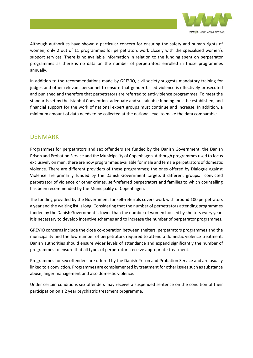

Although authorities have shown a particular concern for ensuring the safety and human rights of women, only 2 out of 11 programmes for perpetrators work closely with the specialized women's support services. There is no available information in relation to the funding spent on perpetrator programmes as there is no data on the number of perpetrators enrolled in those programmes annually.

In addition to the recommendations made by GREVIO, civil society suggests mandatory training for judges and other relevant personnel to ensure that gender-based violence is effectively prosecuted and punished and therefore that perpetrators are referred to anti-violence programmes. To meet the standards set by the Istanbul Convention, adequate and sustainable funding must be established, and financial support for the work of national expert groups must continue and increase. In addition, a minimum amount of data needs to be collected at the national level to make the data comparable.

#### DENMARK

Programmes for perpetrators and sex offenders are funded by the Danish Government, the Danish Prison and Probation Service and the Municipality of Copenhagen. Although programmes used to focus exclusively on men, there are now programmes available for male and female perpetrators of domestic violence. There are different providers of these programmes; the ones offered by Dialogue against Violence are primarily funded by the Danish Government targets 3 different groups: convicted perpetrator of violence or other crimes, self-referred perpetrators and families to which counselling has been recommended by the Municipality of Copenhagen.

The funding provided by the Government for self-referrals covers work with around 100 perpetrators a year and the waiting list is long. Considering that the number of perpetrators attending programmes funded by the Danish Government is lower than the number of women housed by shelters every year, it is necessary to develop incentive schemes and to increase the number of perpetrator programmes.

GREVIO concerns include the close co-operation between shelters, perpetrators programmes and the municipality and the low number of perpetrators required to attend a domestic violence treatment. Danish authorities should ensure wider levels of attendance and expand significantly the number of programmes to ensure that all types of perpetrators receive appropriate treatment.

Programmes for sex offenders are offered by the Danish Prison and Probation Service and are usually linked to a conviction. Programmes are complemented by treatment for other issues such as substance abuse, anger management and also domestic violence.

Under certain conditions sex offenders may receive a suspended sentence on the condition of their participation on a 2 year psychiatric treatment programme.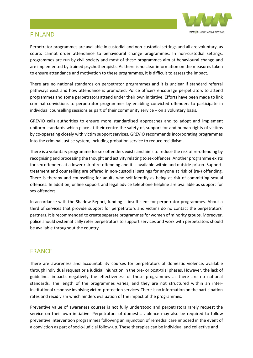

#### FINLAND

Perpetrator programmes are available in custodial and non-custodial settings and all are voluntary, as courts cannot order attendance to behavioural change programmes. In non-custodial settings, programmes are run by civil society and most of these programmes aim at behavioural change and are implemented by trained psychotherapists. As there is no clear information on the measures taken to ensure attendance and motivation to these programmes, it is difficult to assess the impact.

There are no national standards on perpetrator programmes and it is unclear if standard referral pathways exist and how attendance is promoted. Police officers encourage perpetrators to attend programmes and some perpetrators attend under their own initiative. Efforts have been made to link criminal convictions to perpetrator programmes by enabling convicted offenders to participate in individual counselling sessions as part of their community service – on a voluntary basis.

GREVIO calls authorities to ensure more standardised approaches and to adopt and implement uniform standards which place at their centre the safety of, support for and human rights of victims by co-operating closely with victim support services. GREVIO recommends incorporating programmes into the criminal justice system, including probation service to reduce recidivism.

There is a voluntary programme for sex offenders exists and aims to reduce the risk of re-offending by recognising and processing the thought and activity relating to sex offences. Another programme exists for sex offenders at a lower risk of re-offending and it is available within and outside prison. Support, treatment and counselling are offered in non-custodial settings for anyone at risk of (re-) offending. There is therapy and counselling for adults who self-identify as being at risk of committing sexual offences. In addition, online support and legal advice telephone helpline are available as support for sex offenders.

In accordance with the Shadow Report, funding is insufficient for perpetrator programmes. About a third of services that provide support for perpetrators and victims do no contact the perpetrators' partners. It is recommended to create separate programmes for women of minority groups. Moreover, police should systematically refer perpetrators to support services and work with perpetrators should be available throughout the country.

#### FRANCE

There are awareness and accountability courses for perpetrators of domestic violence, available through individual request or a judicial injunction in the pre- or post-trial phases. However, the lack of guidelines impacts negatively the effectiveness of these programmes as there are no national standards. The length of the programmes varies, and they are not structured within an interinstitutional response involving victim-protection services. There is no information on the participation rates and recidivism which hinders evaluation of the impact of the programmes.

Preventive value of awareness courses is not fully understood and perpetrators rarely request the service on their own initiative. Perpetrators of domestic violence may also be required to follow preventive intervention programmes following an injunction of remedial care imposed in the event of a conviction as part of socio-judicial follow-up. These therapies can be individual and collective and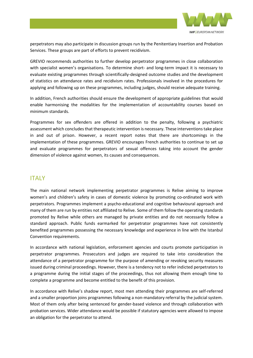

perpetrators may also participate in discussion groups run by the Penitentiary Insertion and Probation Services. These groups are part of efforts to prevent recidivism.

GREVIO recommends authorities to further develop perpetrator programmes in close collaboration with specialist women's organisations. To determine short- and long-term impact it is necessary to evaluate existing programmes through scientifically-designed outcome studies and the development of statistics on attendance rates and recidivism rates. Professionals involved in the procedures for applying and following up on these programmes, including judges, should receive adequate training.

In addition, French authorities should ensure the development of appropriate guidelines that would enable harmonising the modalities for the implementation of accountability courses based on minimum standards.

Programmes for sex offenders are offered in addition to the penalty, following a psychiatric assessment which concludes that therapeutic intervention is necessary. These interventions take place in and out of prison. However, a recent report notes that there are shortcomings in the implementation of these programmes. GREVIO encourages French authorities to continue to set up and evaluate programmes for perpetrators of sexual offences taking into account the gender dimension of violence against women, its causes and consequences.

#### ITALY

The main national network implementing perpetrator programmes is Relive aiming to improve women's and children's safety in cases of domestic violence by promoting co-ordinated work with perpetrators. Programmes implement a psycho-educational and cognitive behavioural approach and many of them are run by entities not affiliated to Relive. Some of them follow the operating standards promoted by Relive while others are managed by private entities and do not necessarily follow a standard approach. Public funds earmarked for perpetrator programmes have not consistently benefited programmes possessing the necessary knowledge and experience in line with the Istanbul Convention requirements.

In accordance with national legislation, enforcement agencies and courts promote participation in perpetrator programmes. Prosecutors and judges are required to take into consideration the attendance of a perpetrator programme for the purpose of amending or revoking security measures issued during criminal proceedings. However, there is a tendency not to refer indicted perpetrators to a programme during the initial stages of the proceedings, thus not allowing them enough time to complete a programme and become entitled to the benefit of this provision.

In accordance with Relive's shadow report, most men attending their programmes are self-referred and a smaller proportion joins programmes following a non-mandatory referral by the judicial system. Most of them only after being sentenced for gender-based violence and through collaboration with probation services. Wider attendance would be possible if statutory agencies were allowed to impose an obligation for the perpetrator to attend.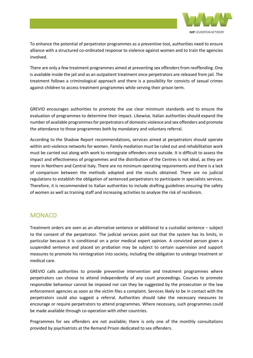

To enhance the potential of perpetrator programmes as a preventive tool, authorities need to ensure alliance with a structured co-ordinated response to violence against women and to train the agencies involved.

There are only a few treatment programmes aimed at preventing sex offenders from reoffending. One is available inside the jail and as an outpatient treatment once perpetrators are released from jail. The treatment follows a criminological approach and there is a possibility for convicts of sexual crimes against children to access treatment programmes while serving their prison term.

GREVIO encourages authorities to promote the use clear minimum standards and to ensure the evaluation of programmes to determine their impact. Likewise, Italian authorities should expand the number of available programmesfor perpetrators of domestic violence and sex offenders and promote the attendance to those programmes both by mandatory and voluntary referral.

According to the Shadow Report recommendations, services aimed at perpetrators should operate within anti-violence networks for women. Family mediation must be ruled out and rehabilitation work must be carried out along with work to reintegrate offenders once outside. It is difficult to assess the impact and effectiveness of programmes and the distribution of the Centres is not ideal, as they are more in Northern and Central Italy. There are no minimum operating requirements and there is a lack of comparison between the methods adopted and the results obtained. There are no judicial regulations to establish the obligation of sentenced perpetrators to participate in specialists services. Therefore, it is recommended to Italian authorities to include drafting guidelines ensuring the safety of women as well as training staff and increasing activities to analyse the risk of recidivism.

#### **MONACO**

Treatment orders are seen as an alternative sentence or additional to a custodial sentence – subject to the consent of the perpetrator. The judicial services point out that the system has its limits, in particular because it is conditional on a prior medical expert opinion. A convicted person given a suspended sentence and placed on probation may be subject to certain supervision and support measures to promote his reintegration into society, including the obligation to undergo treatment or medical care.

GREVIO calls authorities to provide preventive intervention and treatment programmes where perpetrators can choose to attend independently of any court proceedings. Courses to promote responsible behaviour cannot be imposed nor can they be suggested by the prosecution or the law enforcement agencies as soon as the victim files a complaint. Services likely to be in contact with the perpetrators could also suggest a referral. Authorities should take the necessary measures to encourage or require perpetrators to attend programmes. Where necessary, such programmes could be made available through co-operation with other countries.

Programmes for sex offenders are not available; there is only one of the monthly consultations provided by psychiatrists at the Remand Prison dedicated to sex offenders.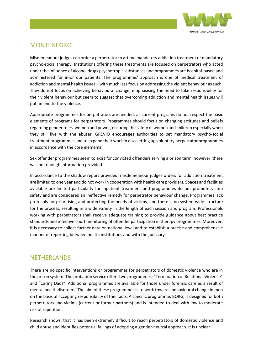

### MONTENEGRO

Misdemeanour judges can order a perpetrator to attend mandatory addiction treatment or mandatory psycho-social therapy. Institutions offering these treatments are focused on perpetrators who acted under the influence of alcohol drugs psychotropic substances and programmes are hospital-based and administered for in-or our patients. The programmes' approach is one of medical treatment of addiction and mental health issues – with much less focus on addressing the violent behaviour as such. They do not focus on achieving behavioural change, emphasising the need to take responsibility for their violent behaviour but seem to suggest that overcoming addiction and mental health issues will put an end to the violence.

Appropriate programmes for perpetrators are needed, as current programs do not respect the basic elements of programs for perpetrators. Programmes should focus on changing attitudes and beliefs regarding gender roles, women and power, ensuring the safety of women and children especially when they still live with the abuser. GREVIO encourages authorities to set mandatory psycho-social treatment programmes and to expand their work in also setting up voluntary perpetrator programmes in accordance with the core elements.

Sex offender programmes seem to exist for convicted offenders serving a prison term, however, there was not enough information provided.

In accordance to the shadow report provided, misdemeanour judges orders for addiction treatment are limited to one year and do not work in cooperation with health care providers. Spaces and facilities available are limited particularly for inpatient treatment and programmes do not promote victim safety and are considered an ineffective remedy for perpetrator behaviour change. Programmes lack protocols for prioritising and protecting the needs of victims, and there is no system-wide structure for the process, resulting in a wide variety in the length of each session and program. Professionals working with perpetrators shall receive adequate training to provide guidance about best practice standards and effective court monitoring of offender participation in therapy programmes. Moreover, it is necessary to collect further data on national level and to establish a precise and comprehensive manner of reporting between health institutions and with the judiciary.

#### NETHERLANDS

There are no specific interventions or programmes for perpetrators of domestic violence who are in the prison system. The probation service offerstwo programmes: "Termination of Relational Violence" and "Caring Dads". Additional programmes are available for those under forensic care as a result of mental health disorders. The aim of these programmes is to work towards behavioural change in men on the basis of accepting responsibility of their acts. A specific programme, BORG, is designed for both perpetrators and victims (current or former partners) and is intended to deal with low to moderate risk of repetition.

Research shows, that it has been extremely difficult to reach perpetrators of domestic violence and child abuse and identifies potential failings of adopting a gender-neutral approach. It is unclear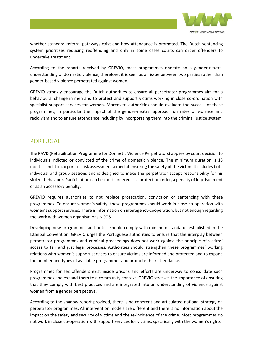

whether standard referral pathways exist and how attendance is promoted. The Dutch sentencing system prioritises reducing reoffending and only in some cases courts can order offenders to undertake treatment.

According to the reports received by GREVIO, most programmes operate on a gender-neutral understanding of domestic violence, therefore, it is seen as an issue between two parties rather than gender-based violence perpetrated against women.

GREVIO strongly encourage the Dutch authorities to ensure all perpetrator programmes aim for a behavioural change in men and to protect and support victims working in close co-ordination with specialist support services for women. Moreover, authorities should evaluate the success of these programmes, in particular the impact of the gender-neutral approach on rates of violence and recidivism and to ensure attendance including by incorporating them into the criminal justice system.

#### **PORTUGAL**

The PAVD (Rehabilitation Programme for Domestic Violence Perpetrators) applies by court decision to individuals indicted or convicted of the crime of domestic violence. The minimum duration is 18 months and it incorporates risk assessment aimed at ensuring the safety of the victim. It includes both individual and group sessions and is designed to make the perpetrator accept responsibility for his violent behaviour. Participation can be court-ordered as a protection order, a penalty of imprisonment or as an accessory penalty.

GREVIO requires authorities to not replace prosecution, conviction or sentencing with these programmes. To ensure women's safety, these programmes should work in close co-operation with women's support services. There is information on interagency-cooperation, but not enough regarding the work with women organisations NGOS.

Developing new programmes authorities should comply with minimum standards established in the Istanbul Convention. GREVIO urges the Portuguese authorities to ensure that the interplay between perpetrator programmes and criminal proceedings does not work against the principle of victims' access to fair and just legal processes. Authorities should strengthen these programmes' working relations with women's support services to ensure victims are informed and protected and to expand the number and types of available programmes and promote their attendance.

Programmes for sex offenders exist inside prisons and efforts are underway to consolidate such programmes and expand them to a community context. GREVIO stresses the importance of ensuring that they comply with best practices and are integrated into an understanding of violence against women from a gender perspective.

According to the shadow report provided, there is no coherent and articulated national strategy on perpetrator programmes. All intervention models are different and there is no information about the impact on the safety and security of victims and the re-incidence of the crime. Most programmes do not work in close co-operation with support services for victims, specifically with the women's rights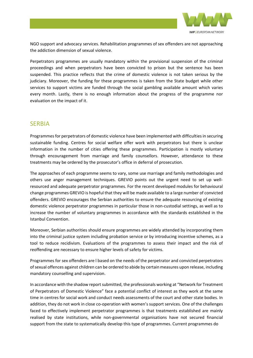

NGO support and advocacy services. Rehabilitation programmes of sex offenders are not approaching the addiction dimension of sexual violence.

Perpetrators programmes are usually mandatory within the provisional suspension of the criminal proceedings and when perpetrators have been convicted to prison but the sentence has been suspended. This practice reflects that the crime of domestic violence is not taken serious by the judiciary. Moreover, the funding for these programmes is taken from the State budget while other services to support victims are funded through the social gambling available amount which varies every month. Lastly, there is no enough information about the progress of the programme nor evaluation on the impact of it.

#### **SERBIA**

Programmes for perpetrators of domestic violence have been implemented with difficulties in securing sustainable funding. Centres for social welfare offer work with perpetrators but there is unclear information in the number of cities offering these programmes. Participation is mostly voluntary through encouragement from marriage and family counsellors. However, attendance to these treatments may be ordered by the prosecutor's office in deferral of prosecution.

The approaches of each programme seems to vary, some use marriage and family methodologies and others use anger management techniques. GREVIO points out the urgent need to set up wellresourced and adequate perpetrator programmes. For the recent developed modules for behavioural change programmes GREVIO is hopeful that they will be made available to a large number of convicted offenders. GREVIO encourages the Serbian authorities to ensure the adequate resourcing of existing domestic violence perpetrator programmes in particular those in non-custodial settings, as well as to increase the number of voluntary programmes in accordance with the standards established in the Istanbul Convention.

Moreover, Serbian authorities should ensure programmes are widely attended by incorporating them into the criminal justice system including probation service or by introducing incentive schemes, as a tool to reduce recidivism. Evaluations of the programmes to assess their impact and the risk of reoffending are necessary to ensure higher levels of safety for victims.

Programmes for sex offenders are l based on the needs of the perpetrator and convicted perpetrators of sexual offences against children can be ordered to abide by certain measures upon release, including mandatory counselling and supervision.

In accordance with the shadow report submitted, the professionals working at "Network for Treatment" of Perpetrators of Domestic Violence" face a potential conflict of interest as they work at the same time in centres for social work and conduct needs assessments of the court and other state bodies. In addition, they do not work in close co-operation with women's support services. One of the challenges faced to effectively implement perpetrator programmes is that treatments established are mainly realised by state institutions, while non-governmental organisations have not secured financial support from the state to systematically develop this type of programmes. Current programmes do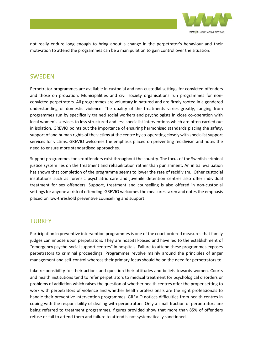

not really endure long enough to bring about a change in the perpetrator's behaviour and their motivation to attend the programmes can be a manipulation to gain control over the situation.

#### SWEDEN

Perpetrator programmes are available in custodial and non-custodial settings for convicted offenders and those on probation. Municipalities and civil society organisations run programmes for nonconvicted perpetrators. All programmes are voluntary in natured and are firmly rooted in a gendered understanding of domestic violence. The quality of the treatments varies greatly, ranging from programmes run by specifically trained social workers and psychologists in close co-operation with local women's services to less structured and less specialist interventions which are often carried out in isolation. GREVIO points out the importance of ensuring harmonised standards placing the safety, support of and human rights of the victims at the centre by co-operating closely with specialist support services for victims. GREVIO welcomes the emphasis placed on preventing recidivism and notes the need to ensure more standardised approaches.

Support programmes for sex offenders exist throughout the country. The focus of the Swedish criminal justice system lies on the treatment and rehabilitation rather than punishment. An initial evaluation has shown that completion of the programme seems to lower the rate of recidivism. Other custodial institutions such as forensic psychiatric care and juvenile detention centres also offer individual treatment for sex offenders. Support, treatment and counselling is also offered in non-custodial settings for anyone at risk of offending. GREVIO welcomes the measures taken and notes the emphasis placed on low-threshold preventive counselling and support.

#### **TURKEY**

Participation in preventive intervention programmes is one of the court-ordered measures that family judges can impose upon perpetrators. They are hospital-based and have led to the establishment of "emergency psycho-social support centres" in hospitals. Failure to attend these programmes exposes perpetrators to criminal proceedings. Programmes revolve mainly around the principles of anger management and self-control whereas their primary focus should be on the need for perpetrators to

take responsibility for their actions and question their attitudes and beliefs towards women. Courts and health institutions tend to refer perpetrators to medical treatment for psychological disorders or problems of addiction which raises the question of whether health centres offer the proper setting to work with perpetrators of violence and whether health professionals are the right professionals to handle their preventive intervention programmes. GREVIO notices difficulties from health centres in coping with the responsibility of dealing with perpetrators. Only a small fraction of perpetrators are being referred to treatment programmes, figures provided show that more than 85% of offenders refuse or fail to attend them and failure to attend is not systematically sanctioned.